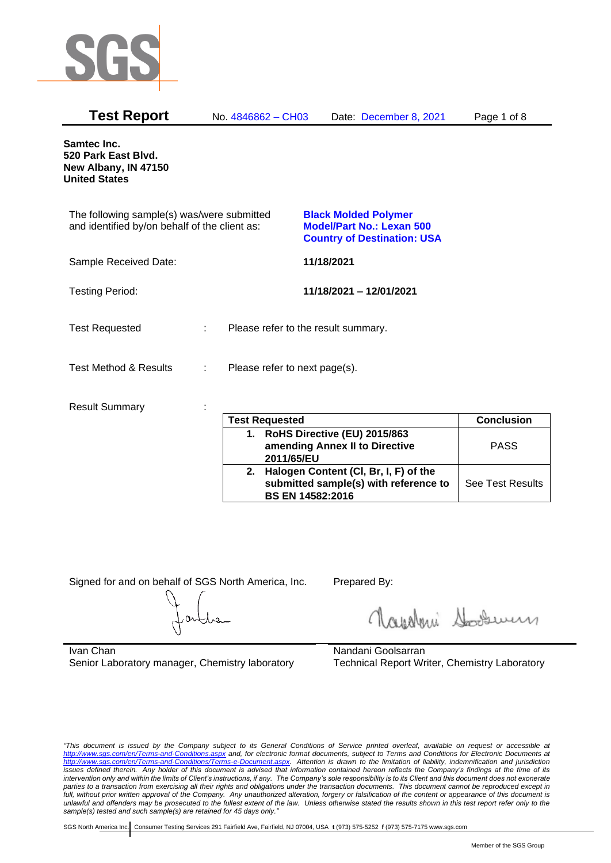

| <b>Test Report</b>                                                                          |   | No. 4846862 - CH03            | Date: December 8, 2021                                                                                | Page 1 of 8       |
|---------------------------------------------------------------------------------------------|---|-------------------------------|-------------------------------------------------------------------------------------------------------|-------------------|
| Samtec Inc.<br>520 Park East Blvd.<br>New Albany, IN 47150<br><b>United States</b>          |   |                               |                                                                                                       |                   |
| The following sample(s) was/were submitted<br>and identified by/on behalf of the client as: |   |                               | <b>Black Molded Polymer</b><br><b>Model/Part No.: Lexan 500</b><br><b>Country of Destination: USA</b> |                   |
| Sample Received Date:                                                                       |   |                               | 11/18/2021                                                                                            |                   |
| <b>Testing Period:</b>                                                                      |   |                               | 11/18/2021 - 12/01/2021                                                                               |                   |
| <b>Test Requested</b>                                                                       | ÷ |                               | Please refer to the result summary.                                                                   |                   |
| Test Method & Results                                                                       | ÷ | Please refer to next page(s). |                                                                                                       |                   |
| <b>Result Summary</b>                                                                       |   | <b>Test Requested</b>         |                                                                                                       | <b>Conclusion</b> |

| <b>Test Requested</b> |                                                                                                           | <b>Conclusion</b>       |
|-----------------------|-----------------------------------------------------------------------------------------------------------|-------------------------|
| 1.                    | RoHS Directive (EU) 2015/863<br>amending Annex II to Directive<br>2011/65/EU                              | <b>PASS</b>             |
| 2.                    | Halogen Content (CI, Br, I, F) of the<br>submitted sample(s) with reference to<br><b>BS EN 14582:2016</b> | <b>See Test Results</b> |

Signed for and on behalf of SGS North America, Inc. Prepared By:

Royalmi Souri

Ivan Chan Senior Laboratory manager, Chemistry laboratory

Nandani Goolsarran Technical Report Writer, Chemistry Laboratory

*"This document is issued by the Company subject to its General Conditions of Service printed overleaf, available on request or accessible at <http://www.sgs.com/en/Terms-and-Conditions.aspx> and, for electronic format documents, subject to Terms and Conditions for Electronic Documents at [http://www.sgs.com/en/Terms-and-Conditions/Terms-e-Document.aspx.](http://www.sgs.com/en/Terms-and-Conditions/Terms-e-Document.aspx) Attention is drawn to the limitation of liability, indemnification and jurisdiction issues defined therein. Any holder of this document is advised that information contained hereon reflects the Company's findings at the time of its intervention only and within the limits of Client's instructions, if any. The Company's sole responsibility is to its Client and this document does not exonerate parties to a transaction from exercising all their rights and obligations under the transaction documents. This document cannot be reproduced except in full, without prior written approval of the Company. Any unauthorized alteration, forgery or falsification of the content or appearance of this document is unlawful and offenders may be prosecuted to the fullest extent of the law. Unless otherwise stated the results shown in this test report refer only to the sample(s) tested and such sample(s) are retained for 45 days only."*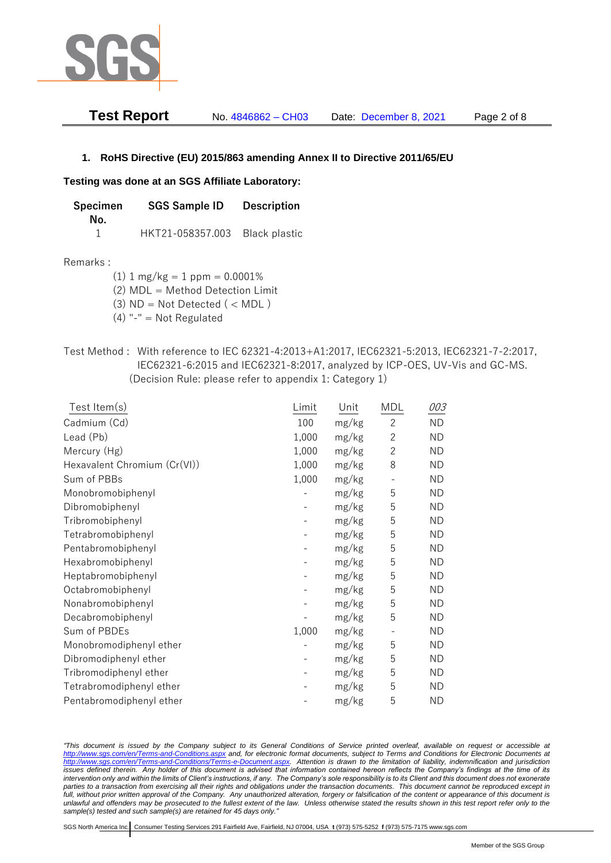

| <b>Test Report</b> | No. 4846862 - CH03 | Date: December 8, 2021 | Page 2 of 8 |
|--------------------|--------------------|------------------------|-------------|
|--------------------|--------------------|------------------------|-------------|

### **1. RoHS Directive (EU) 2015/863 amending Annex II to Directive 2011/65/EU**

#### **Testing was done at an SGS Affiliate Laboratory:**

| Specimen | <b>SGS Sample ID</b>           | <b>Description</b> |
|----------|--------------------------------|--------------------|
| No.      |                                |                    |
|          | HKT21-058357.003 Black plastic |                    |

#### Remarks :

(1)  $1 \text{ mg/kg} = 1 \text{ ppm} = 0.0001\%$ 

(2) MDL = Method Detection Limit

- $(3)$  ND = Not Detected  $($  < MDL)
- (4) "-" = Not Regulated
- Test Method : With reference to IEC 62321-4:2013+A1:2017, IEC62321-5:2013, IEC62321-7-2:2017, IEC62321-6:2015 and IEC62321-8:2017, analyzed by ICP-OES, UV-Vis and GC-MS. (Decision Rule: please refer to appendix 1: Category 1)

| $Test$ Item $(s)$            | Limit | Unit  | <b>MDL</b>     | 003       |
|------------------------------|-------|-------|----------------|-----------|
| Cadmium (Cd)                 | 100   | mg/kg | $\mathbf{2}$   | <b>ND</b> |
| Lead (Pb)                    | 1,000 | mg/kg | $\overline{2}$ | <b>ND</b> |
| Mercury (Hg)                 | 1,000 | mg/kg | $\overline{2}$ | <b>ND</b> |
| Hexavalent Chromium (Cr(VI)) | 1,000 | mg/kg | 8              | <b>ND</b> |
| Sum of PBBs                  | 1,000 | mg/kg |                | <b>ND</b> |
| Monobromobiphenyl            |       | mg/kg | 5              | <b>ND</b> |
| Dibromobiphenyl              |       | mg/kg | 5              | <b>ND</b> |
| Tribromobiphenyl             |       | mg/kg | 5              | <b>ND</b> |
| Tetrabromobiphenyl           |       | mg/kg | 5              | <b>ND</b> |
| Pentabromobiphenyl           |       | mg/kg | 5              | <b>ND</b> |
| Hexabromobiphenyl            |       | mg/kg | 5              | <b>ND</b> |
| Heptabromobiphenyl           |       | mg/kg | 5              | <b>ND</b> |
| Octabromobiphenyl            |       | mg/kg | 5              | <b>ND</b> |
| Nonabromobiphenyl            |       | mg/kg | 5              | <b>ND</b> |
| Decabromobiphenyl            |       | mg/kg | 5              | <b>ND</b> |
| Sum of PBDEs                 | 1,000 | mg/kg |                | <b>ND</b> |
| Monobromodiphenyl ether      |       | mg/kg | 5              | <b>ND</b> |
| Dibromodiphenyl ether        |       | mg/kg | 5              | <b>ND</b> |
| Tribromodiphenyl ether       |       | mg/kg | 5              | <b>ND</b> |
| Tetrabromodiphenyl ether     |       | mg/kg | 5              | <b>ND</b> |
| Pentabromodiphenyl ether     |       | mg/kg | 5              | <b>ND</b> |

*"This document is issued by the Company subject to its General Conditions of Service printed overleaf, available on request or accessible at <http://www.sgs.com/en/Terms-and-Conditions.aspx> and, for electronic format documents, subject to Terms and Conditions for Electronic Documents at [http://www.sgs.com/en/Terms-and-Conditions/Terms-e-Document.aspx.](http://www.sgs.com/en/Terms-and-Conditions/Terms-e-Document.aspx) Attention is drawn to the limitation of liability, indemnification and jurisdiction issues defined therein. Any holder of this document is advised that information contained hereon reflects the Company's findings at the time of its intervention only and within the limits of Client's instructions, if any. The Company's sole responsibility is to its Client and this document does not exonerate parties to a transaction from exercising all their rights and obligations under the transaction documents. This document cannot be reproduced except in full, without prior written approval of the Company. Any unauthorized alteration, forgery or falsification of the content or appearance of this document is unlawful and offenders may be prosecuted to the fullest extent of the law. Unless otherwise stated the results shown in this test report refer only to the sample(s) tested and such sample(s) are retained for 45 days only."*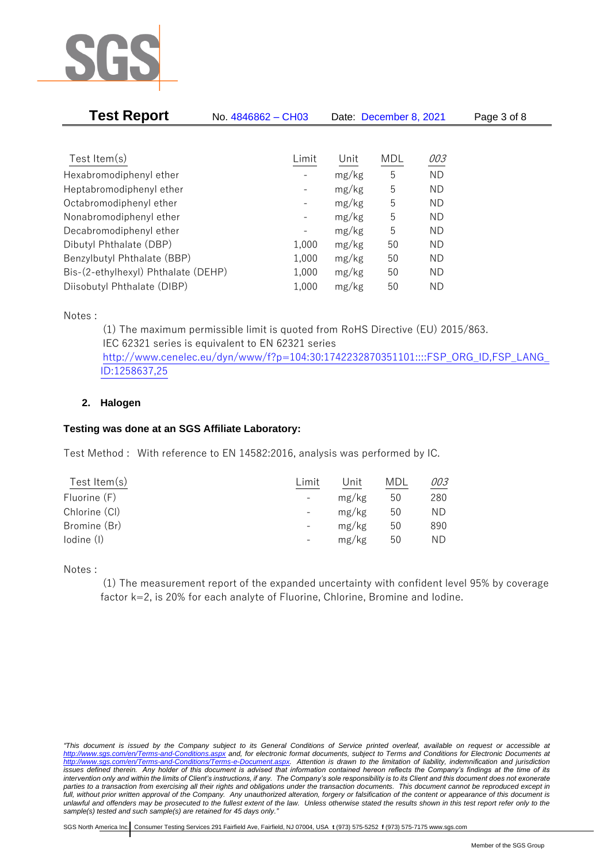

| <b>Test Report</b>                  | No. 4846862 - CH03           | Date: December 8, 2021 |     |           | Page 3 of 8 |
|-------------------------------------|------------------------------|------------------------|-----|-----------|-------------|
|                                     |                              |                        |     |           |             |
| Test Item $(s)$                     | Limit                        | Unit                   | MDL | 003       |             |
| Hexabromodiphenyl ether             |                              | mg/kg                  | 5   | <b>ND</b> |             |
| Heptabromodiphenyl ether            | $\qquad \qquad \blacksquare$ | mg/kg                  | 5   | ΝD        |             |
| Octabromodiphenyl ether             |                              | mg/kg                  | 5   | ΝD        |             |
| Nonabromodiphenyl ether             |                              | mg/kg                  | 5   | ΝD        |             |
| Decabromodiphenyl ether             | $\qquad \qquad \blacksquare$ | mg/kg                  | 5   | <b>ND</b> |             |
| Dibutyl Phthalate (DBP)             | 1,000                        | mg/kg                  | 50  | ΝD        |             |
| Benzylbutyl Phthalate (BBP)         | 1,000                        | mg/kg                  | 50  | ΝD        |             |
| Bis-(2-ethylhexyl) Phthalate (DEHP) | 1,000                        | mg/kg                  | 50  | ΝD        |             |
| Diisobutyl Phthalate (DIBP)         | 1,000                        | mg/kg                  | 50  | ND        |             |

Notes :

(1) The maximum permissible limit is quoted from RoHS Directive (EU) 2015/863. IEC 62321 series is equivalent to EN 62321 series [http://www.cenelec.eu/dyn/www/f?p=104:30:1742232870351101::::FSP\\_ORG\\_ID,FSP\\_LANG\\_](http://www.cenelec.eu/dyn/www/f?p=104:30:1742232870351101::::FSP_ORG_ID,FSP_LANG_ID:1258637,25) [ID:1258637,25](http://www.cenelec.eu/dyn/www/f?p=104:30:1742232870351101::::FSP_ORG_ID,FSP_LANG_ID:1258637,25)

## **2. Halogen**

## **Testing was done at an SGS Affiliate Laboratory:**

Test Method : With reference to EN 14582:2016, analysis was performed by IC.

| Test Item $(s)$ | Limit                    | Unit  | MDL | 003 |
|-----------------|--------------------------|-------|-----|-----|
| Fluorine (F)    | $-$                      | mg/kg | 50  | 280 |
| Chlorine (CI)   | $\overline{\phantom{a}}$ | mg/kg | 50  | ND. |
| Bromine (Br)    | $\qquad \qquad -$        | mg/kg | 50  | 890 |
| lodine (I)      |                          | mg/kg | 50  | ND  |
|                 |                          |       |     |     |

Notes :

(1) The measurement report of the expanded uncertainty with confident level 95% by coverage factor k=2, is 20% for each analyte of Fluorine, Chlorine, Bromine and Iodine.

*<sup>&</sup>quot;This document is issued by the Company subject to its General Conditions of Service printed overleaf, available on request or accessible at <http://www.sgs.com/en/Terms-and-Conditions.aspx> and, for electronic format documents, subject to Terms and Conditions for Electronic Documents at [http://www.sgs.com/en/Terms-and-Conditions/Terms-e-Document.aspx.](http://www.sgs.com/en/Terms-and-Conditions/Terms-e-Document.aspx) Attention is drawn to the limitation of liability, indemnification and jurisdiction issues defined therein. Any holder of this document is advised that information contained hereon reflects the Company's findings at the time of its intervention only and within the limits of Client's instructions, if any. The Company's sole responsibility is to its Client and this document does not exonerate parties to a transaction from exercising all their rights and obligations under the transaction documents. This document cannot be reproduced except in full, without prior written approval of the Company. Any unauthorized alteration, forgery or falsification of the content or appearance of this document is unlawful and offenders may be prosecuted to the fullest extent of the law. Unless otherwise stated the results shown in this test report refer only to the sample(s) tested and such sample(s) are retained for 45 days only."*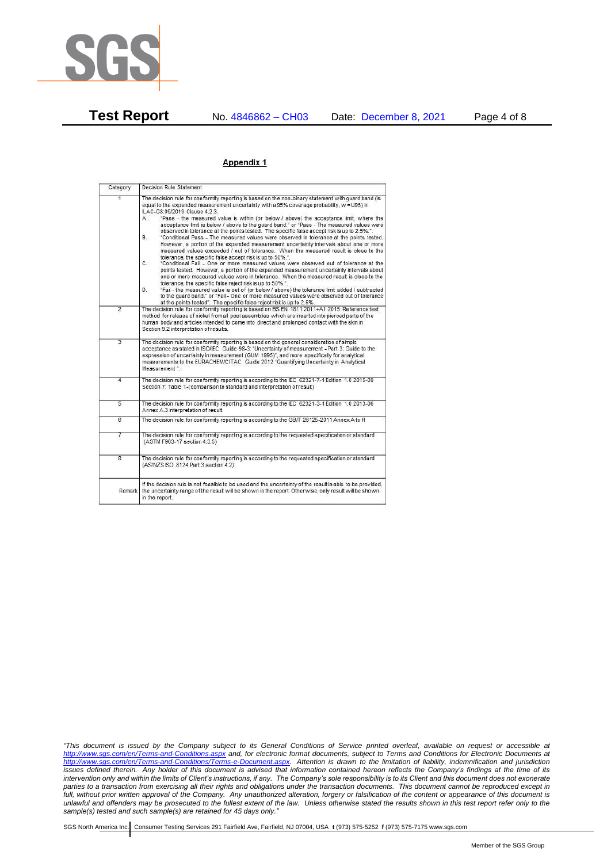

**Test Report** No. 4846862 – CH03 Date: December 8, 2021 Page 4 of 8

### Appendix 1

| Category       | Decision Rule Statement                                                                                                                                                                                                                                                                                                                                                                                                                                                                                                                                                                                                                                                                                                                                                                                                                                                                                                                                                                                                                                                                                                                                                                                                                                                                                                                                                                                                                                                                                           |
|----------------|-------------------------------------------------------------------------------------------------------------------------------------------------------------------------------------------------------------------------------------------------------------------------------------------------------------------------------------------------------------------------------------------------------------------------------------------------------------------------------------------------------------------------------------------------------------------------------------------------------------------------------------------------------------------------------------------------------------------------------------------------------------------------------------------------------------------------------------------------------------------------------------------------------------------------------------------------------------------------------------------------------------------------------------------------------------------------------------------------------------------------------------------------------------------------------------------------------------------------------------------------------------------------------------------------------------------------------------------------------------------------------------------------------------------------------------------------------------------------------------------------------------------|
| $\overline{1}$ | The decision rule for conformity reporting is based on the non-binary statement with quard band (is<br>equal to the expanded measurement uncertainty with a 95% coverage probability, w = U95) in<br>ILAC-G8:09/2019 Clause 4.2.3.<br>"Pass - the measured value is within (or below / above) the acceptance limit, where the<br>А.<br>acceptance limit is below / above to the quard band." or "Pass - The measured values were<br>observed in tolerance at the points tested. The specific false accept risk is up to 2.5%.".<br>B.<br>"Conditional Pass - The measured values were observed in tolerance at the points tested.<br>However, a portion of the expanded measurement uncertainty intervals about one or more<br>measured values exceeded / out of tolerance. When the measured result is close to the<br>tolerance, the specific false accept risk is up to 50%."<br>C.<br>"Conditional Fail - One or more measured values were observed out of tolerance at the<br>points tested. However, a portion of the expanded measurement uncertainty intervals about<br>one or more measured values were in tolerance. When the measured result is close to the<br>tolerance, the specific false reject risk is up to 50%.".<br>"Fail - the measured value is out of (or below / above) the tolerance limit added / subtracted<br>D.<br>to the quard band." or "Fail - One or more measured values were observed out of tolerance<br>at the points tested". The specific false reject risk is up to 2.5%. |
| $\overline{2}$ | The decision rule for conformity reporting is based on BS EN 1811:2011+A1:2015: Reference test<br>method for release of nickel from all post assemblies which are inserted into pierced parts of the<br>human body and articles intended to come into direct and prolonged contact with the skin in<br>Section 9.2 interpretation of results.                                                                                                                                                                                                                                                                                                                                                                                                                                                                                                                                                                                                                                                                                                                                                                                                                                                                                                                                                                                                                                                                                                                                                                     |
| $\overline{3}$ | The decision rule for conformity reporting is based on the general consideration of simple<br>acceptance as stated in ISO/IEC Guide 98-3: "Uncertainty of measurement - Part 3: Guide to the<br>expression of uncertainty in measurement (GUM 1995)", and more specifically for analytical<br>measurements to the EURACHEM/CITAC Guide 2012 "Quantifying Uncertainty in Analytical<br>Measurement *                                                                                                                                                                                                                                                                                                                                                                                                                                                                                                                                                                                                                                                                                                                                                                                                                                                                                                                                                                                                                                                                                                               |
| 4              | The decision rule for conformity reporting is according to the IEC 62321-7-1 Edition 1.0 2015-09<br>Section 7: Table 1-(comparison to standard and interpretation of result)                                                                                                                                                                                                                                                                                                                                                                                                                                                                                                                                                                                                                                                                                                                                                                                                                                                                                                                                                                                                                                                                                                                                                                                                                                                                                                                                      |
| $\overline{5}$ | The decision rule for conformity reporting is according to the IEC 62321-3-1 Edition 1.0 2013-06<br>Annex A.3 interpretation of result.                                                                                                                                                                                                                                                                                                                                                                                                                                                                                                                                                                                                                                                                                                                                                                                                                                                                                                                                                                                                                                                                                                                                                                                                                                                                                                                                                                           |
| 6              | The decision rule for conformity reporting is according to the GB/T 26125-2011 Annex A to H                                                                                                                                                                                                                                                                                                                                                                                                                                                                                                                                                                                                                                                                                                                                                                                                                                                                                                                                                                                                                                                                                                                                                                                                                                                                                                                                                                                                                       |
| 7              | The decision rule for conformity reporting is according to the requested specification or standard<br>(ASTM F963-17 section 4.3.5)                                                                                                                                                                                                                                                                                                                                                                                                                                                                                                                                                                                                                                                                                                                                                                                                                                                                                                                                                                                                                                                                                                                                                                                                                                                                                                                                                                                |
| $\overline{8}$ | The decision rule for conformity reporting is according to the requested specification or standard<br>(AS/NZS ISO 8124 Part 3 section 4.2)                                                                                                                                                                                                                                                                                                                                                                                                                                                                                                                                                                                                                                                                                                                                                                                                                                                                                                                                                                                                                                                                                                                                                                                                                                                                                                                                                                        |
|                | If the decision rule is not feasible to be used and the uncertainty of the result is able to be provided,<br>Remark the uncertainty range of the result will be shown in the report. Otherwise, only result will be shown<br>in the report.                                                                                                                                                                                                                                                                                                                                                                                                                                                                                                                                                                                                                                                                                                                                                                                                                                                                                                                                                                                                                                                                                                                                                                                                                                                                       |

*"This document is issued by the Company subject to its General Conditions of Service printed overleaf, available on request or accessible at <http://www.sgs.com/en/Terms-and-Conditions.aspx> and, for electronic format documents, subject to Terms and Conditions for Electronic Documents at [http://www.sgs.com/en/Terms-and-Conditions/Terms-e-Document.aspx.](http://www.sgs.com/en/Terms-and-Conditions/Terms-e-Document.aspx) Attention is drawn to the limitation of liability, indemnification and jurisdiction issues defined therein. Any holder of this document is advised that information contained hereon reflects the Company's findings at the time of its intervention only and within the limits of Client's instructions, if any. The Company's sole responsibility is to its Client and this document does not exonerate parties to a transaction from exercising all their rights and obligations under the transaction documents. This document cannot be reproduced except in full, without prior written approval of the Company. Any unauthorized alteration, forgery or falsification of the content or appearance of this document is unlawful and offenders may be prosecuted to the fullest extent of the law. Unless otherwise stated the results shown in this test report refer only to the sample(s) tested and such sample(s) are retained for 45 days only."*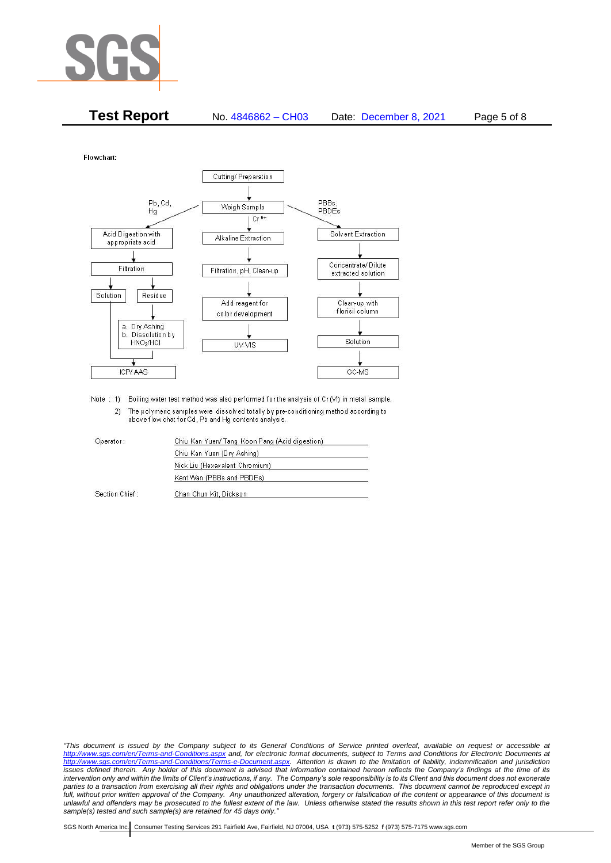

| <b>Test Report</b> | No. 4846862 - CH03 | Date: December 8, 2021 | Page 5 of 8 |
|--------------------|--------------------|------------------------|-------------|
|--------------------|--------------------|------------------------|-------------|

Flowchart:



Note : 1) Boiling water test method was also performed for the analysis of Cr (VI) in metal sample. 2) The polymeric samples were dissolved totally by pre-conditioning method according to above flow chat for Cd, Pb and Hg contents analysis

| Operator:      | Chiu Kan Yuen/ Tang Koon Pang (Acid digestion) |  |
|----------------|------------------------------------------------|--|
|                | Chiu Kan Yuen (Dry Ashing)                     |  |
|                | Nick Liu (Hexavalent Chromium)                 |  |
|                | Kent Wan (PBBs and PBDEs)                      |  |
| Section Chief: | Chan Chun Kit, Dickson                         |  |

*"This document is issued by the Company subject to its General Conditions of Service printed overleaf, available on request or accessible at <http://www.sgs.com/en/Terms-and-Conditions.aspx> and, for electronic format documents, subject to Terms and Conditions for Electronic Documents at [http://www.sgs.com/en/Terms-and-Conditions/Terms-e-Document.aspx.](http://www.sgs.com/en/Terms-and-Conditions/Terms-e-Document.aspx) Attention is drawn to the limitation of liability, indemnification and jurisdiction issues defined therein. Any holder of this document is advised that information contained hereon reflects the Company's findings at the time of its intervention only and within the limits of Client's instructions, if any. The Company's sole responsibility is to its Client and this document does not exonerate*  parties to a transaction from exercising all their rights and obligations under the transaction documents. This document cannot be reproduced except in *full, without prior written approval of the Company. Any unauthorized alteration, forgery or falsification of the content or appearance of this document is unlawful and offenders may be prosecuted to the fullest extent of the law. Unless otherwise stated the results shown in this test report refer only to the sample(s) tested and such sample(s) are retained for 45 days only."*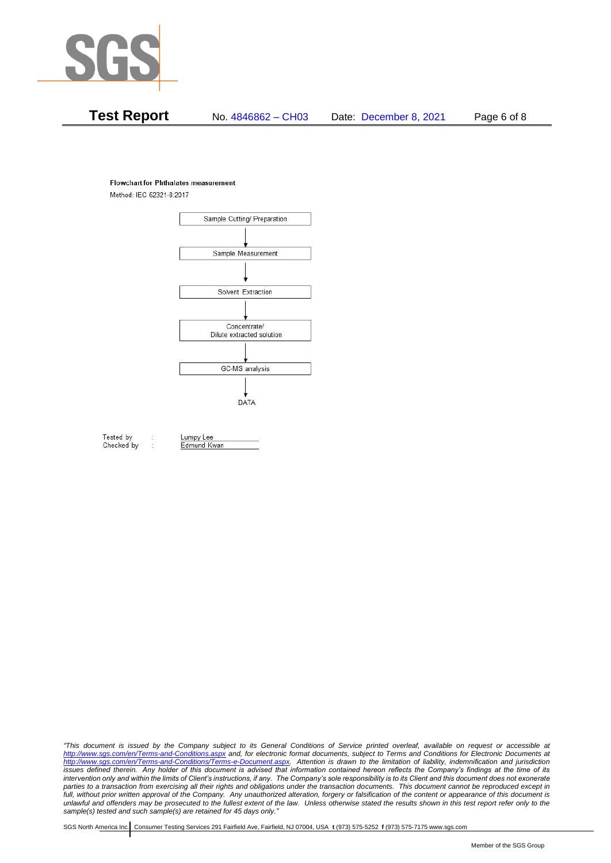

# **Test Report** No. 4846862 – CH03 Date: December 8, 2021 Page 6 of 8

#### **Flowchart for Phthalates measurement**

Method: IEC 62321-8:2017



Tested by Checked by Lumpy Lee

Edmund Kwan

*"This document is issued by the Company subject to its General Conditions of Service printed overleaf, available on request or accessible at <http://www.sgs.com/en/Terms-and-Conditions.aspx> and, for electronic format documents, subject to Terms and Conditions for Electronic Documents at [http://www.sgs.com/en/Terms-and-Conditions/Terms-e-Document.aspx.](http://www.sgs.com/en/Terms-and-Conditions/Terms-e-Document.aspx) Attention is drawn to the limitation of liability, indemnification and jurisdiction issues defined therein. Any holder of this document is advised that information contained hereon reflects the Company's findings at the time of its intervention only and within the limits of Client's instructions, if any. The Company's sole responsibility is to its Client and this document does not exonerate*  parties to a transaction from exercising all their rights and obligations under the transaction documents. This document cannot be reproduced except in *full, without prior written approval of the Company. Any unauthorized alteration, forgery or falsification of the content or appearance of this document is unlawful and offenders may be prosecuted to the fullest extent of the law. Unless otherwise stated the results shown in this test report refer only to the sample(s) tested and such sample(s) are retained for 45 days only."*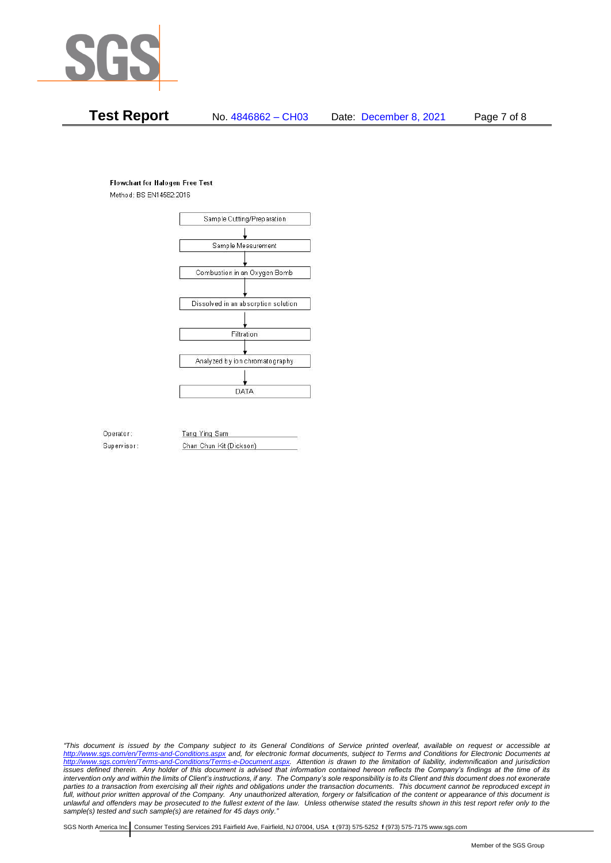

# **Test Report** No. 4846862 – CH03 Date: December 8, 2021 Page 7 of 8

#### **Flowchart for Halogen Free Test**

Method: BS EN14582:2016



Operator: Supervisor: Tang Ying Sam Chan Chun Kit (Dickson)

*"This document is issued by the Company subject to its General Conditions of Service printed overleaf, available on request or accessible at <http://www.sgs.com/en/Terms-and-Conditions.aspx> and, for electronic format documents, subject to Terms and Conditions for Electronic Documents at [http://www.sgs.com/en/Terms-and-Conditions/Terms-e-Document.aspx.](http://www.sgs.com/en/Terms-and-Conditions/Terms-e-Document.aspx) Attention is drawn to the limitation of liability, indemnification and jurisdiction issues defined therein. Any holder of this document is advised that information contained hereon reflects the Company's findings at the time of its intervention only and within the limits of Client's instructions, if any. The Company's sole responsibility is to its Client and this document does not exonerate*  parties to a transaction from exercising all their rights and obligations under the transaction documents. This document cannot be reproduced except in *full, without prior written approval of the Company. Any unauthorized alteration, forgery or falsification of the content or appearance of this document is unlawful and offenders may be prosecuted to the fullest extent of the law. Unless otherwise stated the results shown in this test report refer only to the sample(s) tested and such sample(s) are retained for 45 days only."*